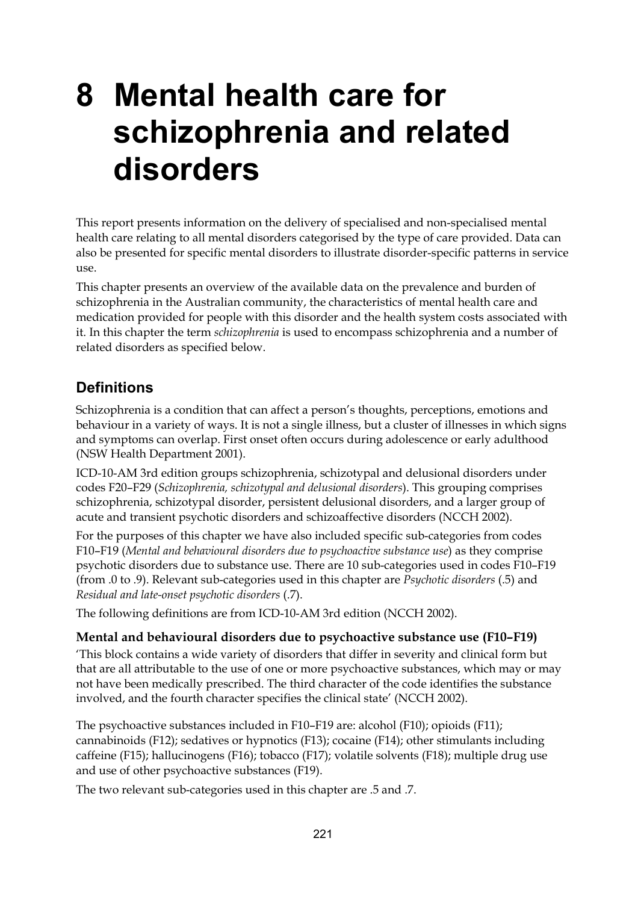# **8 Mental health care for schizophrenia and related disorders**

This report presents information on the delivery of specialised and non-specialised mental health care relating to all mental disorders categorised by the type of care provided. Data can also be presented for specific mental disorders to illustrate disorder-specific patterns in service use.

This chapter presents an overview of the available data on the prevalence and burden of schizophrenia in the Australian community, the characteristics of mental health care and medication provided for people with this disorder and the health system costs associated with it. In this chapter the term *schizophrenia* is used to encompass schizophrenia and a number of related disorders as specified below.

# **Definitions**

Schizophrenia is a condition that can affect a person's thoughts, perceptions, emotions and behaviour in a variety of ways. It is not a single illness, but a cluster of illnesses in which signs and symptoms can overlap. First onset often occurs during adolescence or early adulthood (NSW Health Department 2001).

ICD-10-AM 3rd edition groups schizophrenia, schizotypal and delusional disorders under codes F20–F29 (*Schizophrenia, schizotypal and delusional disorders*). This grouping comprises schizophrenia, schizotypal disorder, persistent delusional disorders, and a larger group of acute and transient psychotic disorders and schizoaffective disorders (NCCH 2002).

For the purposes of this chapter we have also included specific sub-categories from codes F10–F19 (*Mental and behavioural disorders due to psychoactive substance use*) as they comprise psychotic disorders due to substance use. There are 10 sub-categories used in codes F10–F19 (from .0 to .9). Relevant sub-categories used in this chapter are *Psychotic disorders* (.5) and *Residual and late-onset psychotic disorders* (.7).

The following definitions are from ICD-10-AM 3rd edition (NCCH 2002).

## **Mental and behavioural disorders due to psychoactive substance use (F10–F19)**

'This block contains a wide variety of disorders that differ in severity and clinical form but that are all attributable to the use of one or more psychoactive substances, which may or may not have been medically prescribed. The third character of the code identifies the substance involved, and the fourth character specifies the clinical state' (NCCH 2002).

The psychoactive substances included in F10–F19 are: alcohol (F10); opioids (F11); cannabinoids (F12); sedatives or hypnotics (F13); cocaine (F14); other stimulants including caffeine (F15); hallucinogens (F16); tobacco (F17); volatile solvents (F18); multiple drug use and use of other psychoactive substances (F19).

The two relevant sub-categories used in this chapter are .5 and .7.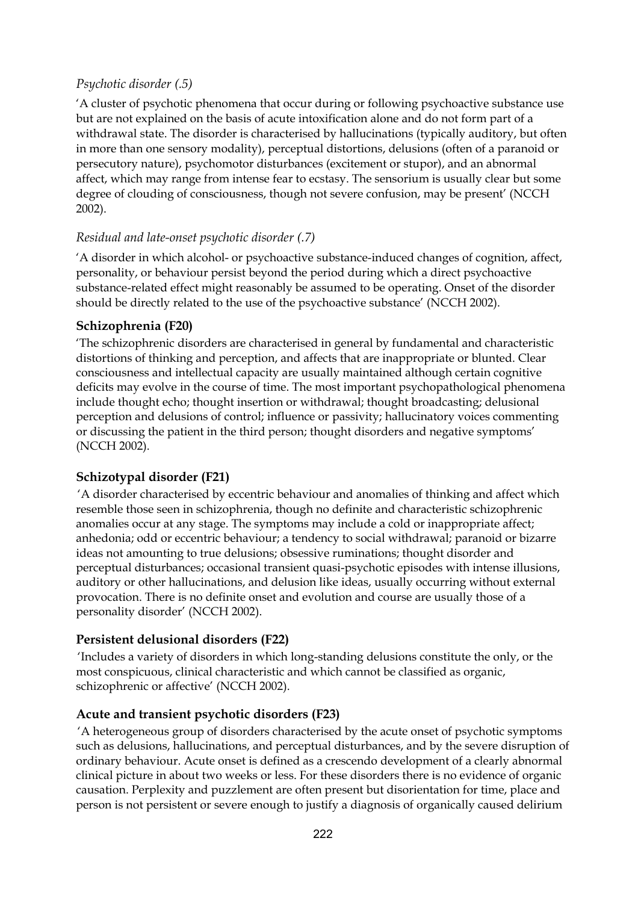## *Psychotic disorder (.5)*

'A cluster of psychotic phenomena that occur during or following psychoactive substance use but are not explained on the basis of acute intoxification alone and do not form part of a withdrawal state. The disorder is characterised by hallucinations (typically auditory, but often in more than one sensory modality), perceptual distortions, delusions (often of a paranoid or persecutory nature), psychomotor disturbances (excitement or stupor), and an abnormal affect, which may range from intense fear to ecstasy. The sensorium is usually clear but some degree of clouding of consciousness, though not severe confusion, may be present' (NCCH 2002).

## *Residual and late-onset psychotic disorder (.7)*

'A disorder in which alcohol- or psychoactive substance-induced changes of cognition, affect, personality, or behaviour persist beyond the period during which a direct psychoactive substance-related effect might reasonably be assumed to be operating. Onset of the disorder should be directly related to the use of the psychoactive substance' (NCCH 2002).

## **Schizophrenia (F20)**

'The schizophrenic disorders are characterised in general by fundamental and characteristic distortions of thinking and perception, and affects that are inappropriate or blunted. Clear consciousness and intellectual capacity are usually maintained although certain cognitive deficits may evolve in the course of time. The most important psychopathological phenomena include thought echo; thought insertion or withdrawal; thought broadcasting; delusional perception and delusions of control; influence or passivity; hallucinatory voices commenting or discussing the patient in the third person; thought disorders and negative symptoms' (NCCH 2002).

## **Schizotypal disorder (F21)**

'A disorder characterised by eccentric behaviour and anomalies of thinking and affect which resemble those seen in schizophrenia, though no definite and characteristic schizophrenic anomalies occur at any stage. The symptoms may include a cold or inappropriate affect; anhedonia; odd or eccentric behaviour; a tendency to social withdrawal; paranoid or bizarre ideas not amounting to true delusions; obsessive ruminations; thought disorder and perceptual disturbances; occasional transient quasi-psychotic episodes with intense illusions, auditory or other hallucinations, and delusion like ideas, usually occurring without external provocation. There is no definite onset and evolution and course are usually those of a personality disorder' (NCCH 2002).

## **Persistent delusional disorders (F22)**

'Includes a variety of disorders in which long-standing delusions constitute the only, or the most conspicuous, clinical characteristic and which cannot be classified as organic, schizophrenic or affective' (NCCH 2002).

## **Acute and transient psychotic disorders (F23)**

'A heterogeneous group of disorders characterised by the acute onset of psychotic symptoms such as delusions, hallucinations, and perceptual disturbances, and by the severe disruption of ordinary behaviour. Acute onset is defined as a crescendo development of a clearly abnormal clinical picture in about two weeks or less. For these disorders there is no evidence of organic causation. Perplexity and puzzlement are often present but disorientation for time, place and person is not persistent or severe enough to justify a diagnosis of organically caused delirium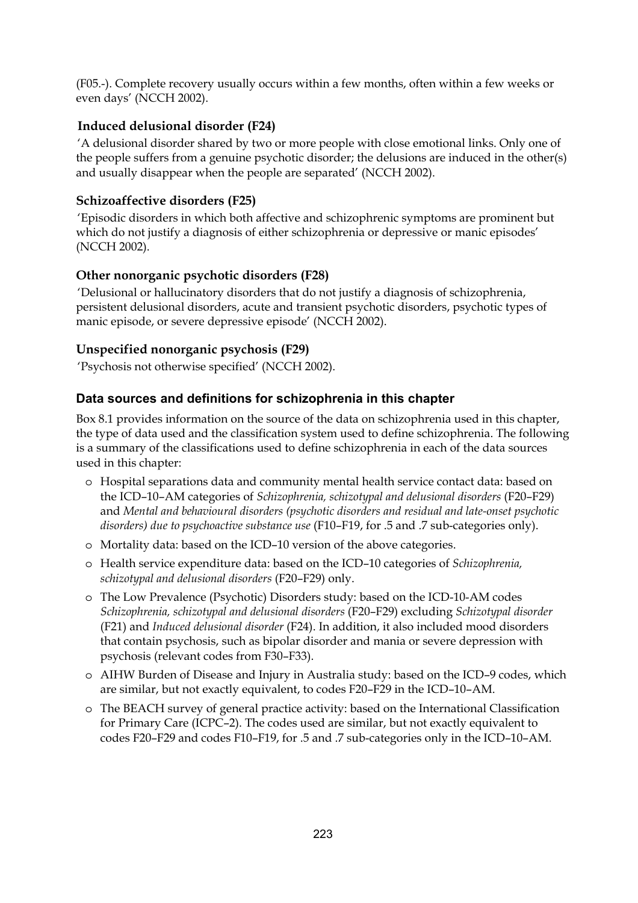(F05.-). Complete recovery usually occurs within a few months, often within a few weeks or even days' (NCCH 2002).

# **Induced delusional disorder (F24)**

'A delusional disorder shared by two or more people with close emotional links. Only one of the people suffers from a genuine psychotic disorder; the delusions are induced in the other(s) and usually disappear when the people are separated' (NCCH 2002).

# **Schizoaffective disorders (F25)**

'Episodic disorders in which both affective and schizophrenic symptoms are prominent but which do not justify a diagnosis of either schizophrenia or depressive or manic episodes' (NCCH 2002).

# **Other nonorganic psychotic disorders (F28)**

'Delusional or hallucinatory disorders that do not justify a diagnosis of schizophrenia, persistent delusional disorders, acute and transient psychotic disorders, psychotic types of manic episode, or severe depressive episode' (NCCH 2002).

# **Unspecified nonorganic psychosis (F29)**

'Psychosis not otherwise specified' (NCCH 2002).

# **Data sources and definitions for schizophrenia in this chapter**

Box 8.1 provides information on the source of the data on schizophrenia used in this chapter, the type of data used and the classification system used to define schizophrenia. The following is a summary of the classifications used to define schizophrenia in each of the data sources used in this chapter:

- o Hospital separations data and community mental health service contact data: based on the ICD–10–AM categories of *Schizophrenia, schizotypal and delusional disorders* (F20–F29) and *Mental and behavioural disorders (psychotic disorders and residual and late-onset psychotic disorders) due to psychoactive substance use* (F10–F19, for .5 and .7 sub-categories only).
- o Mortality data: based on the ICD–10 version of the above categories.
- o Health service expenditure data: based on the ICD–10 categories of *Schizophrenia, schizotypal and delusional disorders* (F20–F29) only.
- o The Low Prevalence (Psychotic) Disorders study: based on the ICD-10-AM codes *Schizophrenia, schizotypal and delusional disorders* (F20–F29) excluding *Schizotypal disorder* (F21) and *Induced delusional disorder* (F24). In addition, it also included mood disorders that contain psychosis, such as bipolar disorder and mania or severe depression with psychosis (relevant codes from F30–F33).
- o AIHW Burden of Disease and Injury in Australia study: based on the ICD–9 codes, which are similar, but not exactly equivalent, to codes F20–F29 in the ICD–10–AM.
- o The BEACH survey of general practice activity: based on the International Classification for Primary Care (ICPC–2). The codes used are similar, but not exactly equivalent to codes F20–F29 and codes F10–F19, for .5 and .7 sub-categories only in the ICD–10–AM.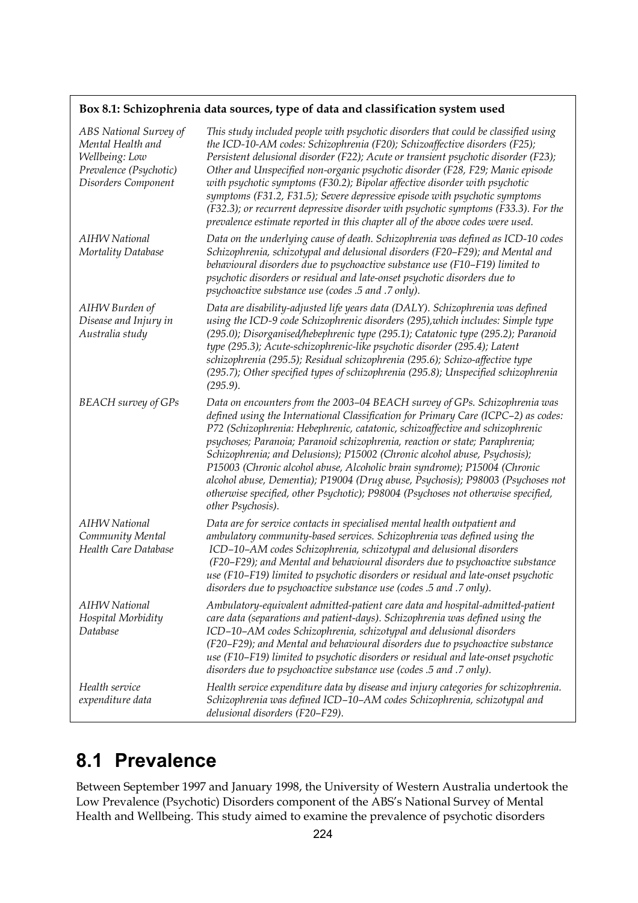## **Box 8.1: Schizophrenia data sources, type of data and classification system used**

| ABS National Survey of<br>Mental Health and<br>Wellbeing: Low<br>Prevalence (Psychotic)<br>Disorders Component | This study included people with psychotic disorders that could be classified using<br>the ICD-10-AM codes: Schizophrenia (F20); Schizoaffective disorders (F25);<br>Persistent delusional disorder (F22); Acute or transient psychotic disorder (F23);<br>Other and Unspecified non-organic psychotic disorder (F28, F29; Manic episode<br>with psychotic symptoms (F30.2); Bipolar affective disorder with psychotic<br>symptoms (F31.2, F31.5); Severe depressive episode with psychotic symptoms<br>(F32.3); or recurrent depressive disorder with psychotic symptoms (F33.3). For the<br>prevalence estimate reported in this chapter all of the above codes were used.              |
|----------------------------------------------------------------------------------------------------------------|------------------------------------------------------------------------------------------------------------------------------------------------------------------------------------------------------------------------------------------------------------------------------------------------------------------------------------------------------------------------------------------------------------------------------------------------------------------------------------------------------------------------------------------------------------------------------------------------------------------------------------------------------------------------------------------|
| <b>AIHW</b> National<br>Mortality Database                                                                     | Data on the underlying cause of death. Schizophrenia was defined as ICD-10 codes<br>Schizophrenia, schizotypal and delusional disorders (F20-F29); and Mental and<br>behavioural disorders due to psychoactive substance use (F10-F19) limited to<br>psychotic disorders or residual and late-onset psychotic disorders due to<br>psychoactive substance use (codes .5 and .7 only).                                                                                                                                                                                                                                                                                                     |
| AIHW Burden of<br>Disease and Injury in<br>Australia study                                                     | Data are disability-adjusted life years data (DALY). Schizophrenia was defined<br>using the ICD-9 code Schizophrenic disorders (295), which includes: Simple type<br>(295.0); Disorganised/hebephrenic type (295.1); Catatonic type (295.2); Paranoid<br>type (295.3); Acute-schizophrenic-like psychotic disorder (295.4); Latent<br>schizophrenia (295.5); Residual schizophrenia (295.6); Schizo-affective type<br>(295.7); Other specified types of schizophrenia (295.8); Unspecified schizophrenia<br>$(295.9)$ .                                                                                                                                                                  |
| <b>BEACH</b> survey of GPs                                                                                     | Data on encounters from the 2003-04 BEACH survey of GPs. Schizophrenia was<br>defined using the International Classification for Primary Care (ICPC-2) as codes:<br>P72 (Schizophrenia: Hebephrenic, catatonic, schizoaffective and schizophrenic<br>psychoses; Paranoia; Paranoid schizophrenia, reaction or state; Paraphrenia;<br>Schizophrenia; and Delusions); P15002 (Chronic alcohol abuse, Psychosis);<br>P15003 (Chronic alcohol abuse, Alcoholic brain syndrome); P15004 (Chronic<br>alcohol abuse, Dementia); P19004 (Drug abuse, Psychosis); P98003 (Psychoses not<br>otherwise specified, other Psychotic); P98004 (Psychoses not otherwise specified,<br>other Psychosis). |
| <b>AIHW National</b><br>Community Mental<br>Health Care Database                                               | Data are for service contacts in specialised mental health outpatient and<br>ambulatory community-based services. Schizophrenia was defined using the<br>ICD-10-AM codes Schizophrenia, schizotypal and delusional disorders<br>(F20-F29); and Mental and behavioural disorders due to psychoactive substance<br>use (F10-F19) limited to psychotic disorders or residual and late-onset psychotic<br>disorders due to psychoactive substance use (codes .5 and .7 only).                                                                                                                                                                                                                |
| <b>AIHW National</b><br>Hospital Morbidity<br>Database                                                         | Ambulatory-equivalent admitted-patient care data and hospital-admitted-patient<br>care data (separations and patient-days). Schizophrenia was defined using the<br>ICD-10-AM codes Schizophrenia, schizotypal and delusional disorders<br>(F20–F29); and Mental and behavioural disorders due to psychoactive substance<br>use (F10-F19) limited to psychotic disorders or residual and late-onset psychotic<br>disorders due to psychoactive substance use (codes .5 and .7 only).                                                                                                                                                                                                      |
| Health service<br>expenditure data                                                                             | Health service expenditure data by disease and injury categories for schizophrenia.<br>Schizophrenia was defined ICD-10-AM codes Schizophrenia, schizotypal and<br>delusional disorders (F20-F29).                                                                                                                                                                                                                                                                                                                                                                                                                                                                                       |

# **8.1 Prevalence**

Between September 1997 and January 1998, the University of Western Australia undertook the Low Prevalence (Psychotic) Disorders component of the ABS's National Survey of Mental Health and Wellbeing. This study aimed to examine the prevalence of psychotic disorders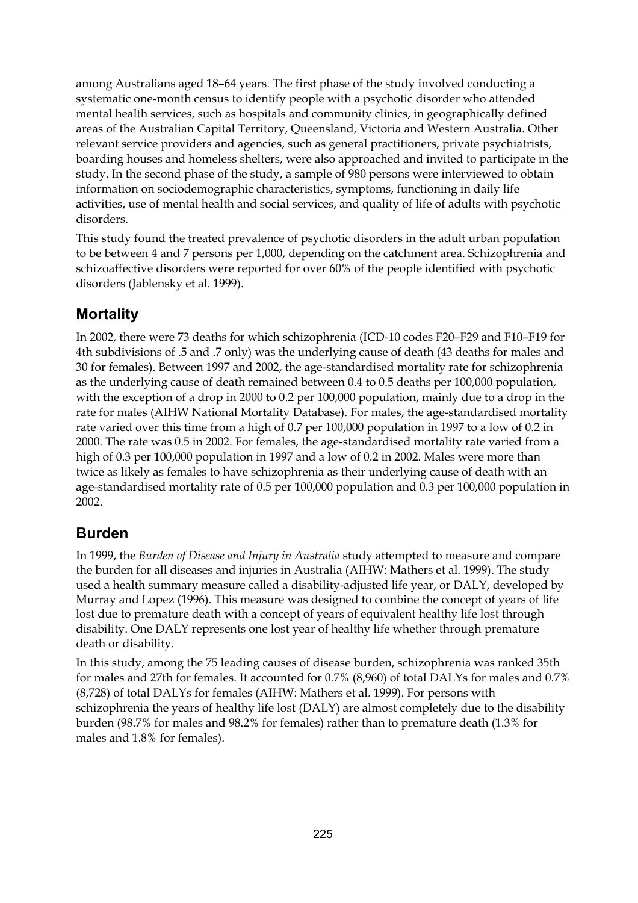among Australians aged 18–64 years. The first phase of the study involved conducting a systematic one-month census to identify people with a psychotic disorder who attended mental health services, such as hospitals and community clinics, in geographically defined areas of the Australian Capital Territory, Queensland, Victoria and Western Australia. Other relevant service providers and agencies, such as general practitioners, private psychiatrists, boarding houses and homeless shelters, were also approached and invited to participate in the study. In the second phase of the study, a sample of 980 persons were interviewed to obtain information on sociodemographic characteristics, symptoms, functioning in daily life activities, use of mental health and social services, and quality of life of adults with psychotic disorders.

This study found the treated prevalence of psychotic disorders in the adult urban population to be between 4 and 7 persons per 1,000, depending on the catchment area. Schizophrenia and schizoaffective disorders were reported for over 60% of the people identified with psychotic disorders (Jablensky et al. 1999).

# **Mortality**

In 2002, there were 73 deaths for which schizophrenia (ICD-10 codes F20–F29 and F10–F19 for 4th subdivisions of .5 and .7 only) was the underlying cause of death (43 deaths for males and 30 for females). Between 1997 and 2002, the age-standardised mortality rate for schizophrenia as the underlying cause of death remained between 0.4 to 0.5 deaths per 100,000 population, with the exception of a drop in 2000 to 0.2 per 100,000 population, mainly due to a drop in the rate for males (AIHW National Mortality Database). For males, the age-standardised mortality rate varied over this time from a high of 0.7 per 100,000 population in 1997 to a low of 0.2 in 2000. The rate was 0.5 in 2002. For females, the age-standardised mortality rate varied from a high of 0.3 per 100,000 population in 1997 and a low of 0.2 in 2002. Males were more than twice as likely as females to have schizophrenia as their underlying cause of death with an age-standardised mortality rate of 0.5 per 100,000 population and 0.3 per 100,000 population in 2002.

# **Burden**

In 1999, the *Burden of Disease and Injury in Australia* study attempted to measure and compare the burden for all diseases and injuries in Australia (AIHW: Mathers et al. 1999). The study used a health summary measure called a disability-adjusted life year, or DALY, developed by Murray and Lopez (1996). This measure was designed to combine the concept of years of life lost due to premature death with a concept of years of equivalent healthy life lost through disability. One DALY represents one lost year of healthy life whether through premature death or disability.

In this study, among the 75 leading causes of disease burden, schizophrenia was ranked 35th for males and 27th for females. It accounted for 0.7% (8,960) of total DALYs for males and 0.7% (8,728) of total DALYs for females (AIHW: Mathers et al. 1999). For persons with schizophrenia the years of healthy life lost (DALY) are almost completely due to the disability burden (98.7% for males and 98.2% for females) rather than to premature death (1.3% for males and 1.8% for females).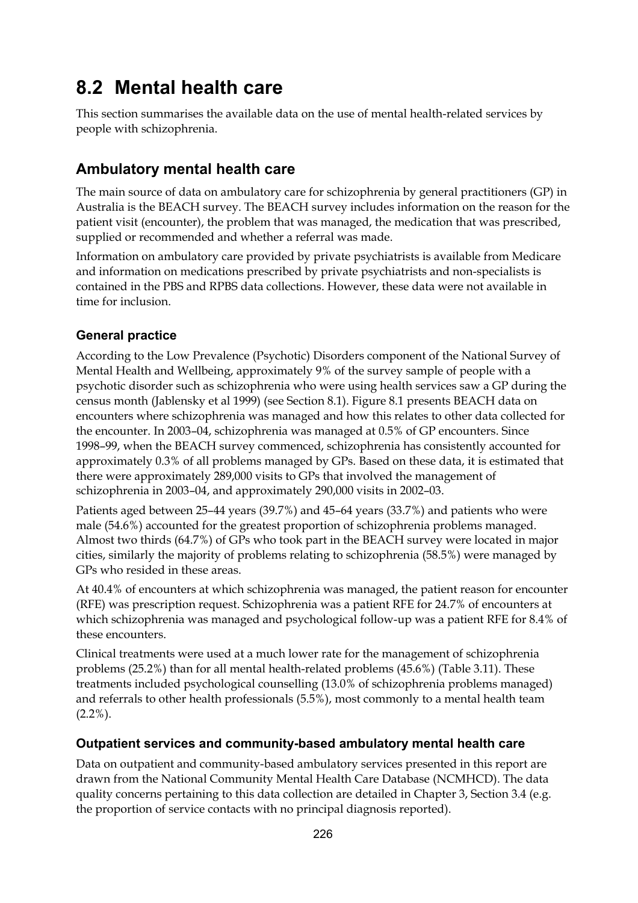# **8.2 Mental health care**

This section summarises the available data on the use of mental health-related services by people with schizophrenia.

# **Ambulatory mental health care**

The main source of data on ambulatory care for schizophrenia by general practitioners (GP) in Australia is the BEACH survey. The BEACH survey includes information on the reason for the patient visit (encounter), the problem that was managed, the medication that was prescribed, supplied or recommended and whether a referral was made.

Information on ambulatory care provided by private psychiatrists is available from Medicare and information on medications prescribed by private psychiatrists and non-specialists is contained in the PBS and RPBS data collections. However, these data were not available in time for inclusion.

# **General practice**

According to the Low Prevalence (Psychotic) Disorders component of the National Survey of Mental Health and Wellbeing, approximately 9% of the survey sample of people with a psychotic disorder such as schizophrenia who were using health services saw a GP during the census month (Jablensky et al 1999) (see Section 8.1). Figure 8.1 presents BEACH data on encounters where schizophrenia was managed and how this relates to other data collected for the encounter. In 2003–04, schizophrenia was managed at 0.5% of GP encounters. Since 1998–99, when the BEACH survey commenced, schizophrenia has consistently accounted for approximately 0.3% of all problems managed by GPs. Based on these data, it is estimated that there were approximately 289,000 visits to GPs that involved the management of schizophrenia in 2003–04, and approximately 290,000 visits in 2002–03.

Patients aged between 25–44 years (39.7%) and 45–64 years (33.7%) and patients who were male (54.6%) accounted for the greatest proportion of schizophrenia problems managed. Almost two thirds (64.7%) of GPs who took part in the BEACH survey were located in major cities, similarly the majority of problems relating to schizophrenia (58.5%) were managed by GPs who resided in these areas.

At 40.4% of encounters at which schizophrenia was managed, the patient reason for encounter (RFE) was prescription request. Schizophrenia was a patient RFE for 24.7% of encounters at which schizophrenia was managed and psychological follow-up was a patient RFE for 8.4% of these encounters.

Clinical treatments were used at a much lower rate for the management of schizophrenia problems (25.2%) than for all mental health-related problems (45.6%) (Table 3.11). These treatments included psychological counselling (13.0% of schizophrenia problems managed) and referrals to other health professionals (5.5%), most commonly to a mental health team  $(2.2\%)$ .

# **Outpatient services and community-based ambulatory mental health care**

Data on outpatient and community-based ambulatory services presented in this report are drawn from the National Community Mental Health Care Database (NCMHCD). The data quality concerns pertaining to this data collection are detailed in Chapter 3, Section 3.4 (e.g. the proportion of service contacts with no principal diagnosis reported).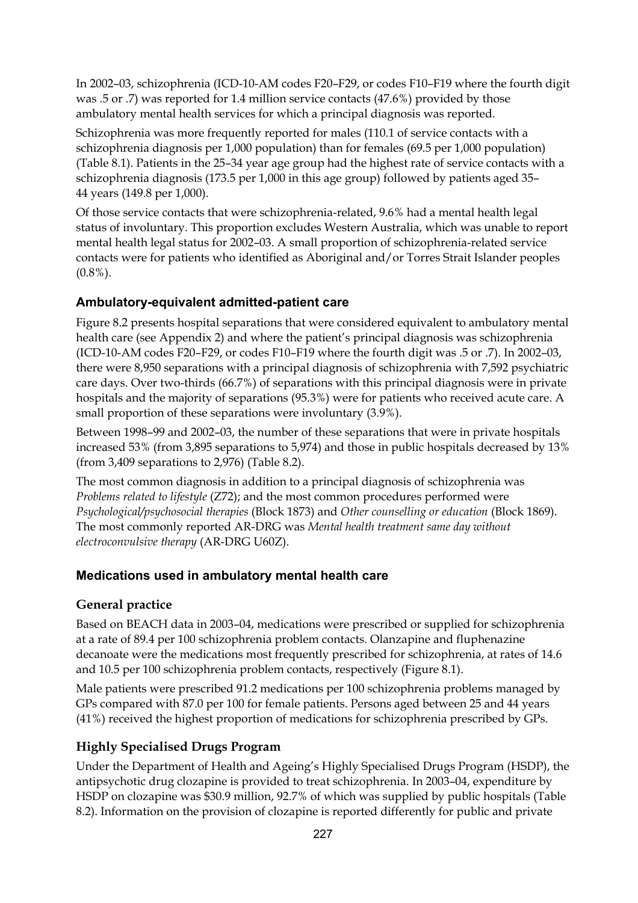In 2002–03, schizophrenia (ICD-10-AM codes F20–F29, or codes F10–F19 where the fourth digit was .5 or .7) was reported for 1.4 million service contacts (47.6%) provided by those ambulatory mental health services for which a principal diagnosis was reported.

Schizophrenia was more frequently reported for males (110.1 of service contacts with a schizophrenia diagnosis per 1,000 population) than for females (69.5 per 1,000 population) (Table 8.1). Patients in the 25–34 year age group had the highest rate of service contacts with a schizophrenia diagnosis (173.5 per 1,000 in this age group) followed by patients aged 35– 44 years (149.8 per 1,000).

Of those service contacts that were schizophrenia-related, 9.6% had a mental health legal status of involuntary. This proportion excludes Western Australia, which was unable to report mental health legal status for 2002–03. A small proportion of schizophrenia-related service contacts were for patients who identified as Aboriginal and/or Torres Strait Islander peoples (0.8%).

# **Ambulatory-equivalent admitted-patient care**

Figure 8.2 presents hospital separations that were considered equivalent to ambulatory mental health care (see Appendix 2) and where the patient's principal diagnosis was schizophrenia (ICD-10-AM codes F20–F29, or codes F10–F19 where the fourth digit was .5 or .7). In 2002–03, there were 8,950 separations with a principal diagnosis of schizophrenia with 7,592 psychiatric care days. Over two-thirds (66.7%) of separations with this principal diagnosis were in private hospitals and the majority of separations (95.3%) were for patients who received acute care. A small proportion of these separations were involuntary (3.9%).

Between 1998–99 and 2002–03, the number of these separations that were in private hospitals increased 53% (from 3,895 separations to 5,974) and those in public hospitals decreased by 13% (from 3,409 separations to 2,976) (Table 8.2).

The most common diagnosis in addition to a principal diagnosis of schizophrenia was *Problems related to lifestyle* (Z72); and the most common procedures performed were *Psychological/psychosocial therapies* (Block 1873) and *Other counselling or education* (Block 1869). The most commonly reported AR-DRG was *Mental health treatment same day without electroconvulsive therapy* (AR-DRG U60Z).

# **Medications used in ambulatory mental health care**

# **General practice**

Based on BEACH data in 2003–04, medications were prescribed or supplied for schizophrenia at a rate of 89.4 per 100 schizophrenia problem contacts. Olanzapine and fluphenazine decanoate were the medications most frequently prescribed for schizophrenia, at rates of 14.6 and 10.5 per 100 schizophrenia problem contacts, respectively (Figure 8.1).

Male patients were prescribed 91.2 medications per 100 schizophrenia problems managed by GPs compared with 87.0 per 100 for female patients. Persons aged between 25 and 44 years (41%) received the highest proportion of medications for schizophrenia prescribed by GPs.

# **Highly Specialised Drugs Program**

Under the Department of Health and Ageing's Highly Specialised Drugs Program (HSDP), the antipsychotic drug clozapine is provided to treat schizophrenia. In 2003–04, expenditure by HSDP on clozapine was \$30.9 million, 92.7% of which was supplied by public hospitals (Table 8.2). Information on the provision of clozapine is reported differently for public and private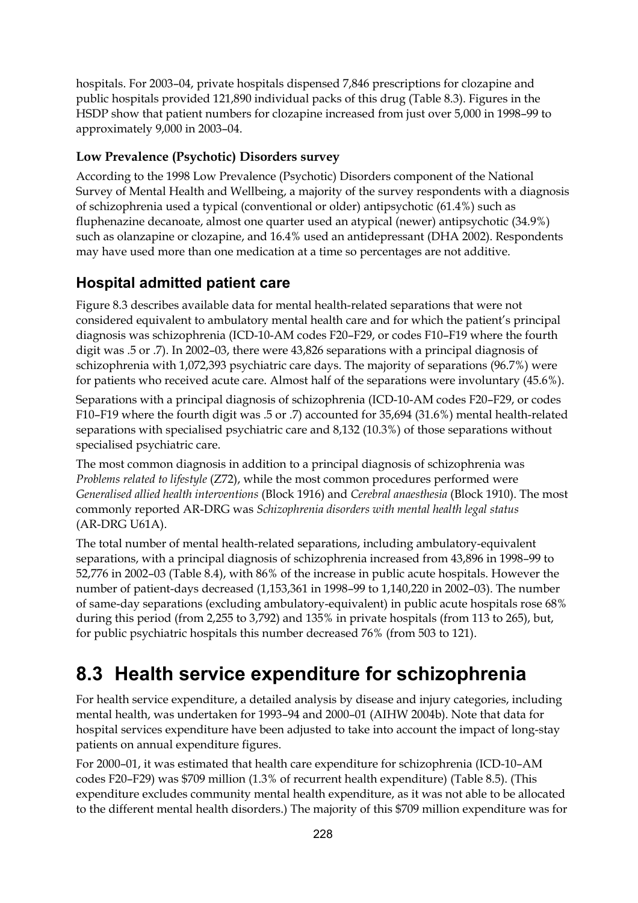hospitals. For 2003–04, private hospitals dispensed 7,846 prescriptions for clozapine and public hospitals provided 121,890 individual packs of this drug (Table 8.3). Figures in the HSDP show that patient numbers for clozapine increased from just over 5,000 in 1998–99 to approximately 9,000 in 2003–04.

# **Low Prevalence (Psychotic) Disorders survey**

According to the 1998 Low Prevalence (Psychotic) Disorders component of the National Survey of Mental Health and Wellbeing, a majority of the survey respondents with a diagnosis of schizophrenia used a typical (conventional or older) antipsychotic (61.4%) such as fluphenazine decanoate, almost one quarter used an atypical (newer) antipsychotic (34.9%) such as olanzapine or clozapine, and 16.4% used an antidepressant (DHA 2002). Respondents may have used more than one medication at a time so percentages are not additive.

# **Hospital admitted patient care**

Figure 8.3 describes available data for mental health-related separations that were not considered equivalent to ambulatory mental health care and for which the patient's principal diagnosis was schizophrenia (ICD-10-AM codes F20–F29, or codes F10–F19 where the fourth digit was .5 or .7). In 2002–03, there were 43,826 separations with a principal diagnosis of schizophrenia with 1,072,393 psychiatric care days. The majority of separations (96.7%) were for patients who received acute care. Almost half of the separations were involuntary (45.6%).

Separations with a principal diagnosis of schizophrenia (ICD-10-AM codes F20–F29, or codes F10–F19 where the fourth digit was .5 or .7) accounted for 35,694 (31.6%) mental health-related separations with specialised psychiatric care and 8,132 (10.3%) of those separations without specialised psychiatric care.

The most common diagnosis in addition to a principal diagnosis of schizophrenia was *Problems related to lifestyle* (Z72), while the most common procedures performed were *Generalised allied health interventions* (Block 1916) and *Cerebral anaesthesia* (Block 1910). The most commonly reported AR-DRG was *Schizophrenia disorders with mental health legal status* (AR-DRG U61A).

The total number of mental health-related separations, including ambulatory-equivalent separations, with a principal diagnosis of schizophrenia increased from 43,896 in 1998–99 to 52,776 in 2002–03 (Table 8.4), with 86% of the increase in public acute hospitals. However the number of patient-days decreased (1,153,361 in 1998–99 to 1,140,220 in 2002–03). The number of same-day separations (excluding ambulatory-equivalent) in public acute hospitals rose 68% during this period (from 2,255 to 3,792) and 135% in private hospitals (from 113 to 265), but, for public psychiatric hospitals this number decreased 76% (from 503 to 121).

# **8.3 Health service expenditure for schizophrenia**

For health service expenditure, a detailed analysis by disease and injury categories, including mental health, was undertaken for 1993–94 and 2000–01 (AIHW 2004b). Note that data for hospital services expenditure have been adjusted to take into account the impact of long-stay patients on annual expenditure figures.

For 2000–01, it was estimated that health care expenditure for schizophrenia (ICD-10–AM codes F20–F29) was \$709 million (1.3% of recurrent health expenditure) (Table 8.5). (This expenditure excludes community mental health expenditure, as it was not able to be allocated to the different mental health disorders.) The majority of this \$709 million expenditure was for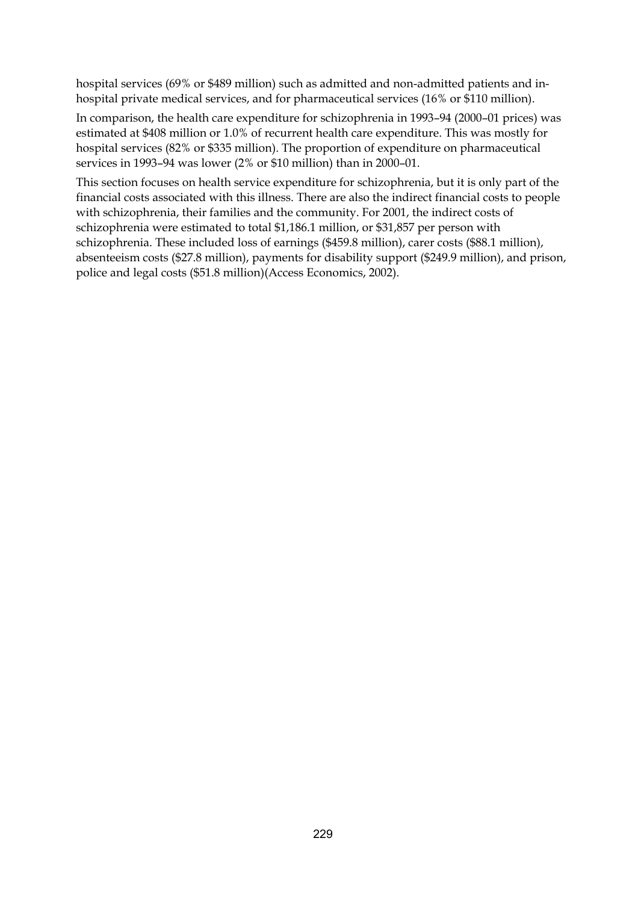hospital services (69% or \$489 million) such as admitted and non-admitted patients and inhospital private medical services, and for pharmaceutical services (16% or \$110 million).

In comparison, the health care expenditure for schizophrenia in 1993–94 (2000–01 prices) was estimated at \$408 million or 1.0% of recurrent health care expenditure. This was mostly for hospital services (82% or \$335 million). The proportion of expenditure on pharmaceutical services in 1993–94 was lower (2% or \$10 million) than in 2000–01.

This section focuses on health service expenditure for schizophrenia, but it is only part of the financial costs associated with this illness. There are also the indirect financial costs to people with schizophrenia, their families and the community. For 2001, the indirect costs of schizophrenia were estimated to total \$1,186.1 million, or \$31,857 per person with schizophrenia. These included loss of earnings (\$459.8 million), carer costs (\$88.1 million), absenteeism costs (\$27.8 million), payments for disability support (\$249.9 million), and prison, police and legal costs (\$51.8 million)(Access Economics, 2002).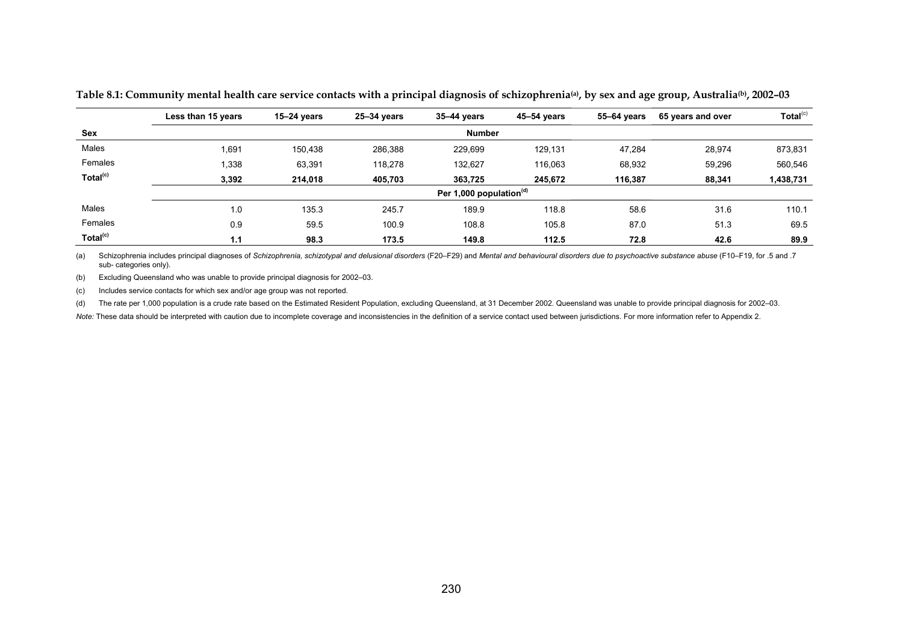|                      | Less than 15 years | $15 - 24$ years            | 25-34 years | 35-44 vears   | 45-54 years | 55–64 years | 65 years and over | Total <sup>(c)</sup> |  |  |  |  |
|----------------------|--------------------|----------------------------|-------------|---------------|-------------|-------------|-------------------|----------------------|--|--|--|--|
| Sex                  |                    |                            |             | <b>Number</b> |             |             |                   |                      |  |  |  |  |
| Males                | 1,691              | 150.438                    | 286,388     | 229,699       | 129.131     | 47.284      | 28,974            | 873,831              |  |  |  |  |
| Females              | 1,338              | 63,391                     | 118.278     | 132.627       | 116.063     | 68,932      | 59,296            | 560,546              |  |  |  |  |
| Total <sup>(c)</sup> | 3,392              | 214,018                    | 405,703     | 363,725       | 245.672     | 116,387     | 88,341            | 1,438,731            |  |  |  |  |
|                      |                    | Per 1,000 population $(d)$ |             |               |             |             |                   |                      |  |  |  |  |
| Males                | 1.0                | 135.3                      | 245.7       | 189.9         | 118.8       | 58.6        | 31.6              | 110.1                |  |  |  |  |
| Females              | 0.9                | 59.5                       | 100.9       | 108.8         | 105.8       | 87.0        | 51.3              | 69.5                 |  |  |  |  |
| Total <sup>(c)</sup> | 1.1                | 98.3                       | 173.5       | 149.8         | 112.5       | 72.8        | 42.6              | 89.9                 |  |  |  |  |

**Table 8.1: Community mental health care service contacts with a principal diagnosis of schizophrenia(a), by sex and age group, Australia(b), 2002–03** 

(a) Schizophrenia includes principal diagnoses of *Schizophrenia, schizotypal and delusional disorders* (F20–F29) and *Mental and behavioural disorders due to psychoactive substance abuse* (F10–F19, for .5 and .7 sub- categories only).

(b) Excluding Queensland who was unable to provide principal diagnosis for 2002–03.

(c) Includes service contacts for which sex and/or age group was not reported.

(d) The rate per 1,000 population is a crude rate based on the Estimated Resident Population, excluding Queensland, at 31 December 2002. Queensland was unable to provide principal diagnosis for 2002-03.

Note: These data should be interpreted with caution due to incomplete coverage and inconsistencies in the definition of a service contact used between jurisdictions. For more information refer to Appendix 2.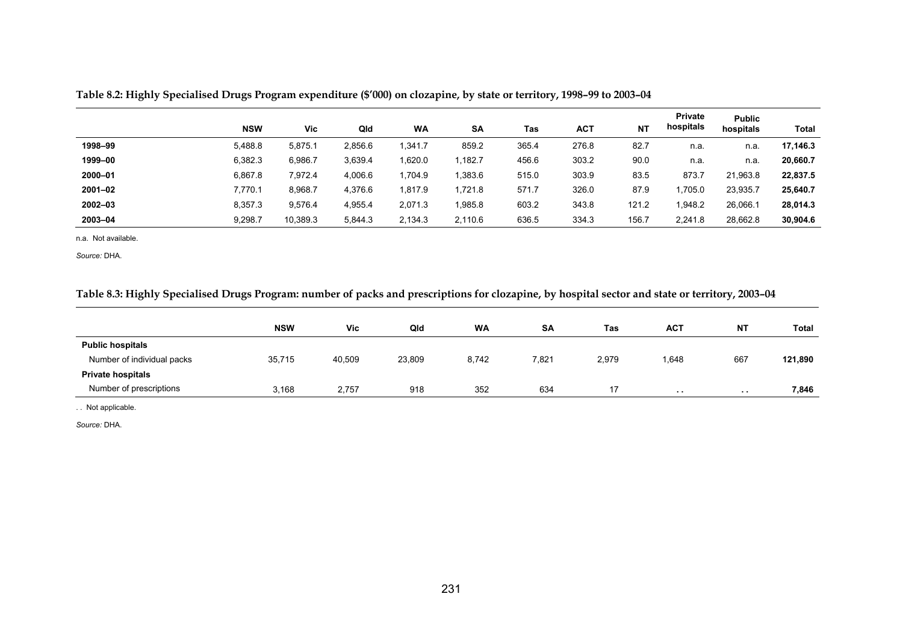|         | <b>NSW</b> | Vic      | Qld     | <b>WA</b> | <b>SA</b> | Tas   | АСТ   | <b>NT</b> | <b>Private</b><br>hospitals | <b>Public</b><br>hospitals | Total    |
|---------|------------|----------|---------|-----------|-----------|-------|-------|-----------|-----------------------------|----------------------------|----------|
| 1998-99 | 5,488.8    | 5,875.1  | 2.856.6 | 1.341.7   | 859.2     | 365.4 | 276.8 | 82.7      | n.a.                        | n.a.                       | 17,146.3 |
| 1999-00 | 6,382.3    | 6,986.7  | 3,639.4 | 1.620.0   | ,182.7    | 456.6 | 303.2 | 90.0      | n.a.                        | n.a.                       | 20,660.7 |
| 2000-01 | 6,867.8    | 7.972.4  | 4.006.6 | 1.704.9   | ,383.6    | 515.0 | 303.9 | 83.5      | 873.7                       | 21,963.8                   | 22,837.5 |
| 2001-02 | 7,770.1    | 8,968.7  | 4,376.6 | 1,817.9   | ,721.8    | 571.7 | 326.0 | 87.9      | ,705.0                      | 23,935.7                   | 25,640.7 |
| 2002-03 | 8,357.3    | 9.576.4  | 4.955.4 | 2,071.3   | .985.8    | 603.2 | 343.8 | 121.2     | .948.2                      | 26,066.1                   | 28,014.3 |
| 2003-04 | 9,298.7    | 10,389.3 | 5,844.3 | 2,134.3   | 2,110.6   | 636.5 | 334.3 | 156.7     | 2,241.8                     | 28,662.8                   | 30,904.6 |

**Table 8.2: Highly Specialised Drugs Program expenditure (\$'000) on clozapine, by state or territory, 1998–99 to 2003–04** 

n.a. Not available.

*Source:* DHA.

#### **Table 8.3: Highly Specialised Drugs Program: number of packs and prescriptions for clozapine, by hospital sector and state or territory, 2003–04**

|                            | <b>NSW</b> | Vic    | Qld    | <b>WA</b> | <b>SA</b> | Tas   | <b>ACT</b> | <b>NT</b>  | Total   |
|----------------------------|------------|--------|--------|-----------|-----------|-------|------------|------------|---------|
| <b>Public hospitals</b>    |            |        |        |           |           |       |            |            |         |
| Number of individual packs | 35,715     | 40,509 | 23,809 | 8,742     | 7,821     | 2,979 | 1,648      | 667        | 121,890 |
| <b>Private hospitals</b>   |            |        |        |           |           |       |            |            |         |
| Number of prescriptions    | 3,168      | 2,757  | 918    | 352       | 634       | 17    | .          | <b>COL</b> | 7,846   |

. . Not applicable.

*Source:* DHA.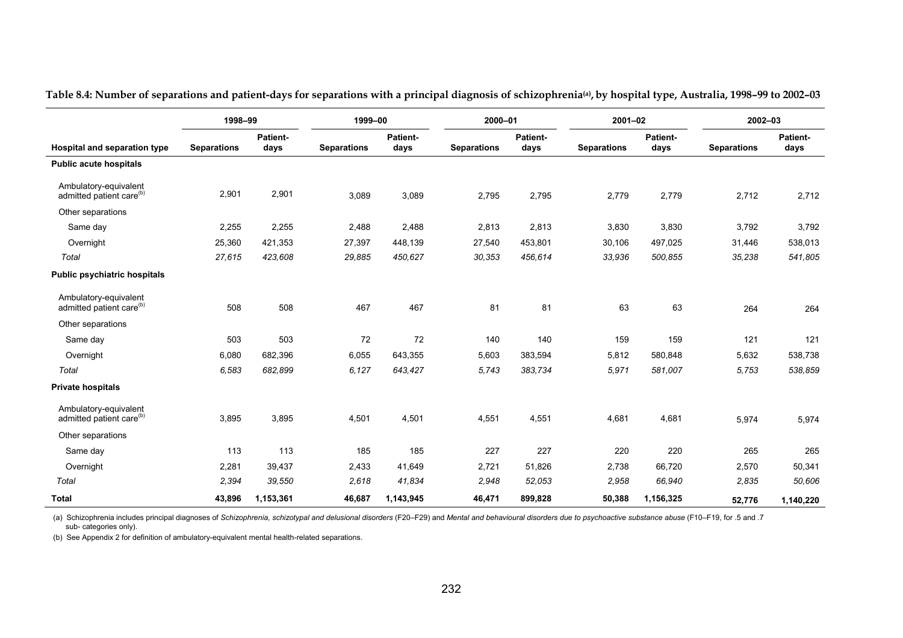|                                                               | 1998-99            |                         | 1999-00            |                  | 2000-01            |                  | $2001 - 02$        |                  |                    | 2002-03          |  |
|---------------------------------------------------------------|--------------------|-------------------------|--------------------|------------------|--------------------|------------------|--------------------|------------------|--------------------|------------------|--|
| Hospital and separation type                                  | <b>Separations</b> | <b>Patient-</b><br>days | <b>Separations</b> | Patient-<br>days | <b>Separations</b> | Patient-<br>days | <b>Separations</b> | Patient-<br>days | <b>Separations</b> | Patient-<br>days |  |
| <b>Public acute hospitals</b>                                 |                    |                         |                    |                  |                    |                  |                    |                  |                    |                  |  |
| Ambulatory-equivalent<br>admitted patient care <sup>(b)</sup> | 2,901              | 2,901                   | 3,089              | 3,089            | 2,795              | 2,795            | 2,779              | 2,779            | 2,712              | 2,712            |  |
| Other separations                                             |                    |                         |                    |                  |                    |                  |                    |                  |                    |                  |  |
| Same day                                                      | 2,255              | 2,255                   | 2,488              | 2,488            | 2,813              | 2,813            | 3,830              | 3,830            | 3,792              | 3,792            |  |
| Overnight                                                     | 25,360             | 421,353                 | 27,397             | 448,139          | 27,540             | 453,801          | 30,106             | 497,025          | 31,446             | 538,013          |  |
| Total                                                         | 27,615             | 423,608                 | 29,885             | 450,627          | 30,353             | 456,614          | 33,936             | 500,855          | 35,238             | 541,805          |  |
| <b>Public psychiatric hospitals</b>                           |                    |                         |                    |                  |                    |                  |                    |                  |                    |                  |  |
| Ambulatory-equivalent<br>admitted patient care <sup>(b)</sup> | 508                | 508                     | 467                | 467              | 81                 | 81               | 63                 | 63               | 264                | 264              |  |
| Other separations                                             |                    |                         |                    |                  |                    |                  |                    |                  |                    |                  |  |
| Same day                                                      | 503                | 503                     | 72                 | 72               | 140                | 140              | 159                | 159              | 121                | 121              |  |
| Overnight                                                     | 6,080              | 682,396                 | 6,055              | 643,355          | 5,603              | 383,594          | 5,812              | 580,848          | 5,632              | 538,738          |  |
| Total                                                         | 6,583              | 682,899                 | 6,127              | 643,427          | 5,743              | 383,734          | 5,971              | 581,007          | 5,753              | 538,859          |  |
| <b>Private hospitals</b>                                      |                    |                         |                    |                  |                    |                  |                    |                  |                    |                  |  |
| Ambulatory-equivalent<br>admitted patient care <sup>(b)</sup> | 3.895              | 3.895                   | 4,501              | 4,501            | 4,551              | 4,551            | 4,681              | 4.681            | 5,974              | 5,974            |  |
| Other separations                                             |                    |                         |                    |                  |                    |                  |                    |                  |                    |                  |  |
| Same day                                                      | 113                | 113                     | 185                | 185              | 227                | 227              | 220                | 220              | 265                | 265              |  |
| Overnight                                                     | 2,281              | 39,437                  | 2,433              | 41,649           | 2,721              | 51,826           | 2,738              | 66,720           | 2,570              | 50,341           |  |
| Total                                                         | 2,394              | 39,550                  | 2,618              | 41,834           | 2,948              | 52,053           | 2,958              | 66,940           | 2,835              | 50,606           |  |
| <b>Total</b>                                                  | 43,896             | 1,153,361               | 46,687             | 1,143,945        | 46,471             | 899,828          | 50,388             | 1,156,325        | 52.776             | 1,140,220        |  |

**Table 8.4: Number of separations and patient-days for separations with a principal diagnosis of schizophrenia(a), by hospital type, Australia, 1998–99 to 2002–03** 

(a) Schizophrenia includes principal diagnoses of *Schizophrenia, schizotypal and delusional disorders* (F20–F29) and *Mental and behavioural disorders due to psychoactive substance abuse* (F10–F19, for .5 and .7 sub- categories only).

(b) See Appendix 2 for definition of ambulatory-equivalent mental health-related separations.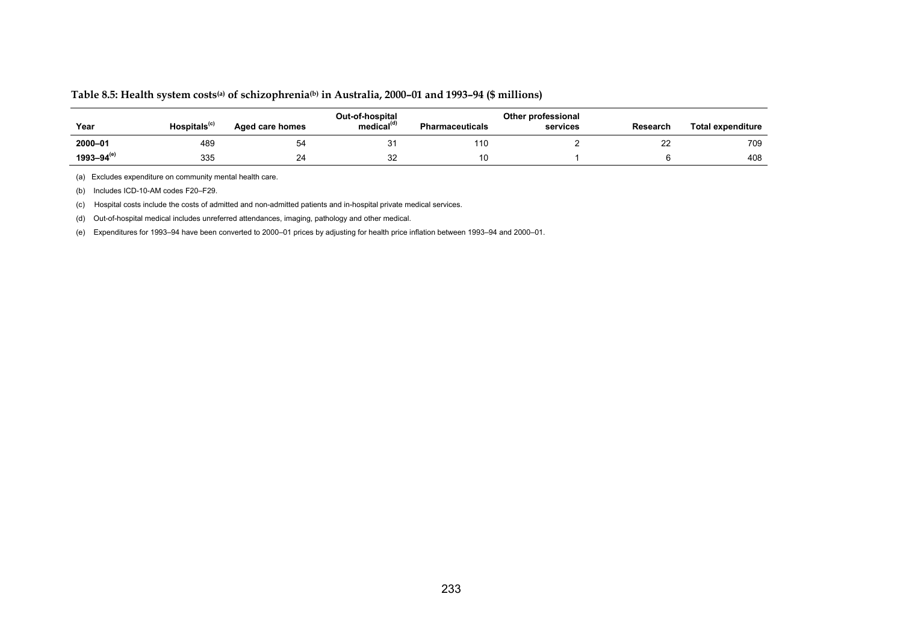#### **Table 8.5: Health system costs(a) of schizophrenia(b) in Australia, 2000–01 and 1993–94 (\$ millions)**

| Year              | Hospitals <sup>(c)</sup> | Aged care homes | Out-of-hospital<br>medical <sup>®</sup> | <b>Pharmaceuticals</b> | Other professional<br>services | Research | <b>Total expenditure</b> |
|-------------------|--------------------------|-----------------|-----------------------------------------|------------------------|--------------------------------|----------|--------------------------|
| 2000-01           | 489                      | 54              | ັ                                       | 110                    |                                |          | 709                      |
| $1993 - 94^{(e)}$ | 335                      | 24              | $\sim$<br>32                            | 10                     |                                |          | 408                      |

(a) Excludes expenditure on community mental health care.

(b) Includes ICD-10-AM codes F20–F29.

(c) Hospital costs include the costs of admitted and non-admitted patients and in-hospital private medical services.

(d) Out-of-hospital medical includes unreferred attendances, imaging, pathology and other medical.

(e) Expenditures for 1993–94 have been converted to 2000–01 prices by adjusting for health price inflation between 1993–94 and 2000–01.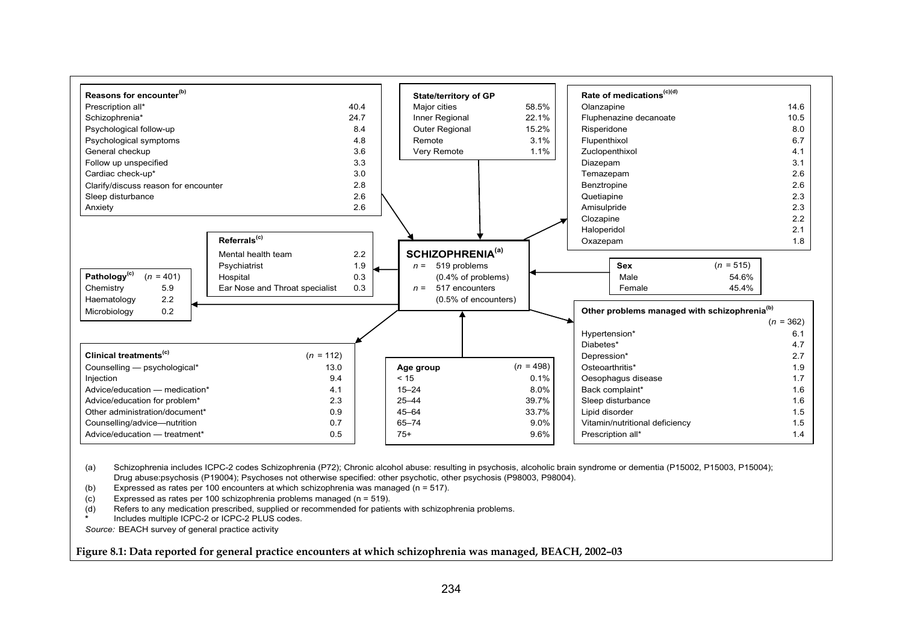

(a) Drug abuse:psychosis (P19004); Psychoses not otherwise specified: other psychotic, other psychosis (P98003, P98004). Schizophrenia includes ICPC-2 codes Schizophrenia (P72); Chronic alcohol abuse: resulting in psychosis, alcoholic brain syndrome or dementia (P15002, P15003, P15004);

(b) Expressed as rates per 100 encounters at which schizophrenia was managed ( $n = 517$ ).

(c) Expressed as rates per 100 schizophrenia problems managed (n = 519).

(d) Refers to any medication prescribed, supplied or recommended for patients with schizophrenia problems. **\***Includes multiple ICPC-2 or ICPC-2 PLUS codes.

*Source:* BEACH survey of general practice activity

**Figure 8.1: Data reported for general practice encounters at which schizophrenia was managed, BEACH, 2002–03**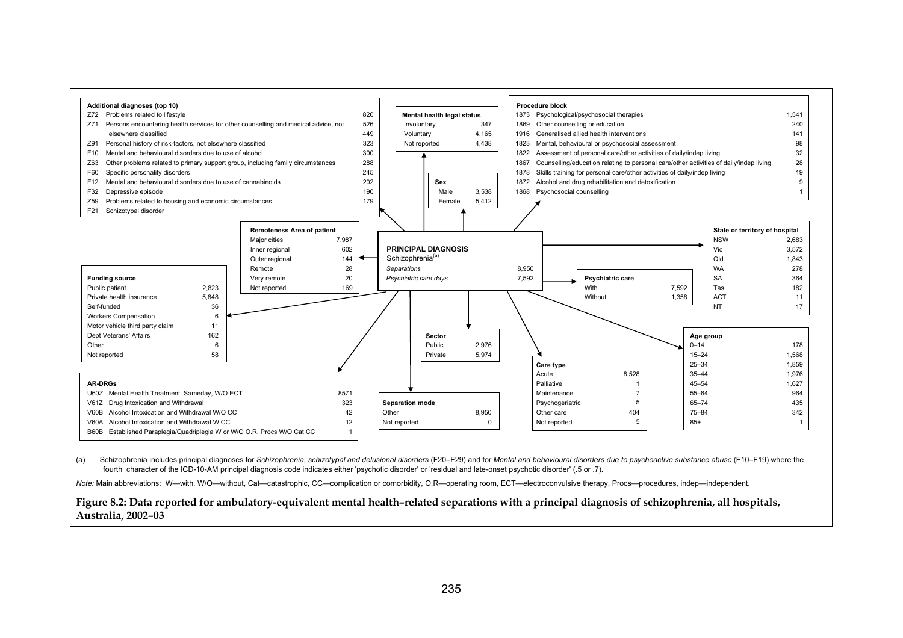

(a) Schizophrenia includes principal diagnoses for *Schizophrenia, schizotypal and delusional disorders* (F20–F29) and for *Mental and behavioural disorders due to psychoactive substance abuse* (F10–F19) where the fourth character of the ICD-10-AM principal diagnosis code indicates either 'psychotic disorder' or 'residual and late-onset psychotic disorder' (.5 or .7).

*Note:* Main abbreviations: W—with, W/O—without, Cat—catastrophic, CC—complication or comorbidity, O.R—operating room, ECT—electroconvulsive therapy, Procs—procedures, indep—independent.

#### **Figure 8.2: Data reported for ambulatory-equivalent mental health–related separations with a principal diagnosis of schizophrenia, all hospitals, Australia, 2002–03**